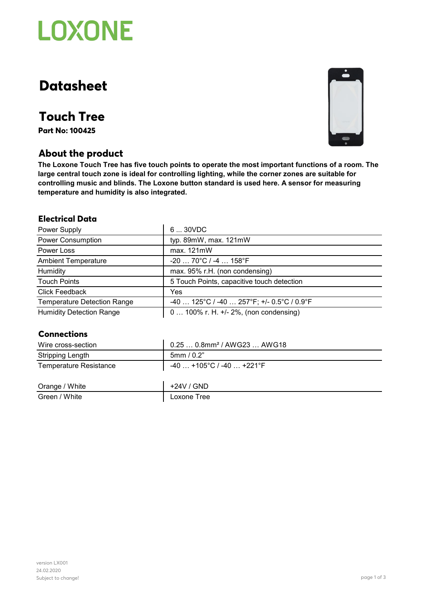

# **Datasheet**

## **Touch Tree**

**Part No: 100425**

## **About the product**

**The Loxone Touch Tree has five touch points to operate the most important functions of a room. The large central touch zone is ideal for controlling lighting, while the corner zones are suitable for controlling music and blinds. The Loxone button standard is used here. A sensor for measuring temperature and humidity is also integrated.** 

#### **Electrical Data**

| Power Supply                       | 630VDC                                      |
|------------------------------------|---------------------------------------------|
| <b>Power Consumption</b>           | typ. 89mW, max. 121mW                       |
| Power Loss                         | max. 121mW                                  |
| <b>Ambient Temperature</b>         | $-20$ 70°C / -4  158°F                      |
| Humidity                           | max. 95% r.H. (non condensing)              |
| <b>Touch Points</b>                | 5 Touch Points, capacitive touch detection  |
| <b>Click Feedback</b>              | Yes                                         |
| <b>Temperature Detection Range</b> | $-40$ 125°C / -40  257°F; +/- 0.5°C / 0.9°F |
| <b>Humidity Detection Range</b>    | $0100\%$ r. H. $+/- 2\%$ , (non condensing) |

#### **Connections**

| Wire cross-section            | 0.25  0.8mm <sup>2</sup> / AWG23  AWG18 |
|-------------------------------|-----------------------------------------|
| <b>Stripping Length</b>       | 5mm/0.2"                                |
| <b>Temperature Resistance</b> | $-40$ +105°C / -40  +221°F              |
| Orange / White                | $+24V / GND$                            |
| Green / White                 | Loxone Tree                             |

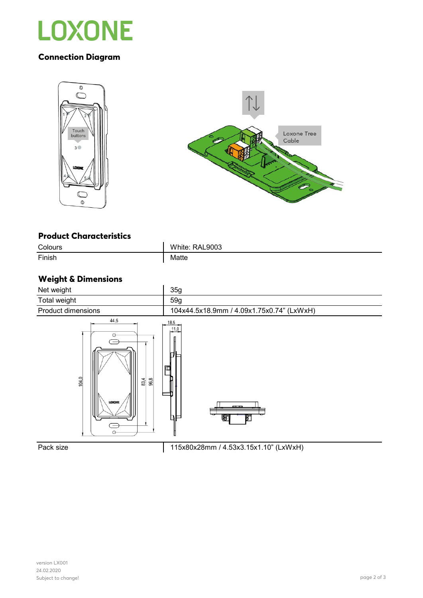

## **Connection Diagram**





#### **Product Characteristics**

| Colours | White: RAL9003 |
|---------|----------------|
| Finish  | Matte          |

## **Weight & Dimensions**